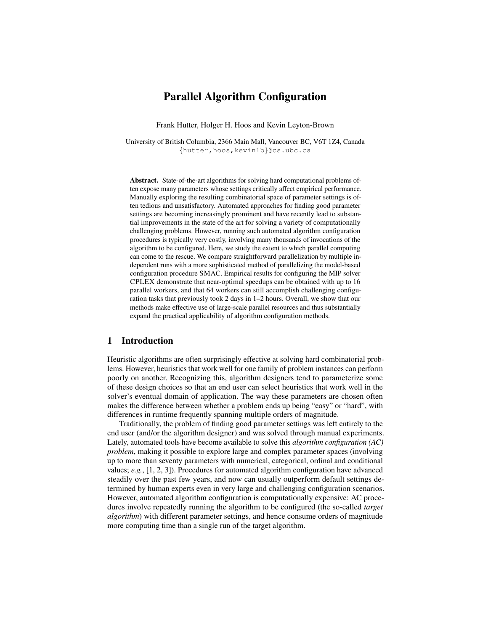# Parallel Algorithm Configuration

Frank Hutter, Holger H. Hoos and Kevin Leyton-Brown

University of British Columbia, 2366 Main Mall, Vancouver BC, V6T 1Z4, Canada {hutter,hoos,kevinlb}@cs.ubc.ca

Abstract. State-of-the-art algorithms for solving hard computational problems often expose many parameters whose settings critically affect empirical performance. Manually exploring the resulting combinatorial space of parameter settings is often tedious and unsatisfactory. Automated approaches for finding good parameter settings are becoming increasingly prominent and have recently lead to substantial improvements in the state of the art for solving a variety of computationally challenging problems. However, running such automated algorithm configuration procedures is typically very costly, involving many thousands of invocations of the algorithm to be configured. Here, we study the extent to which parallel computing can come to the rescue. We compare straightforward parallelization by multiple independent runs with a more sophisticated method of parallelizing the model-based configuration procedure SMAC. Empirical results for configuring the MIP solver CPLEX demonstrate that near-optimal speedups can be obtained with up to 16 parallel workers, and that 64 workers can still accomplish challenging configuration tasks that previously took 2 days in 1–2 hours. Overall, we show that our methods make effective use of large-scale parallel resources and thus substantially expand the practical applicability of algorithm configuration methods.

### 1 Introduction

Heuristic algorithms are often surprisingly effective at solving hard combinatorial problems. However, heuristics that work well for one family of problem instances can perform poorly on another. Recognizing this, algorithm designers tend to parameterize some of these design choices so that an end user can select heuristics that work well in the solver's eventual domain of application. The way these parameters are chosen often makes the difference between whether a problem ends up being "easy" or "hard", with differences in runtime frequently spanning multiple orders of magnitude.

Traditionally, the problem of finding good parameter settings was left entirely to the end user (and/or the algorithm designer) and was solved through manual experiments. Lately, automated tools have become available to solve this *algorithm configuration (AC) problem*, making it possible to explore large and complex parameter spaces (involving up to more than seventy parameters with numerical, categorical, ordinal and conditional values; *e.g.*, [1, 2, 3]). Procedures for automated algorithm configuration have advanced steadily over the past few years, and now can usually outperform default settings determined by human experts even in very large and challenging configuration scenarios. However, automated algorithm configuration is computationally expensive: AC procedures involve repeatedly running the algorithm to be configured (the so-called *target algorithm*) with different parameter settings, and hence consume orders of magnitude more computing time than a single run of the target algorithm.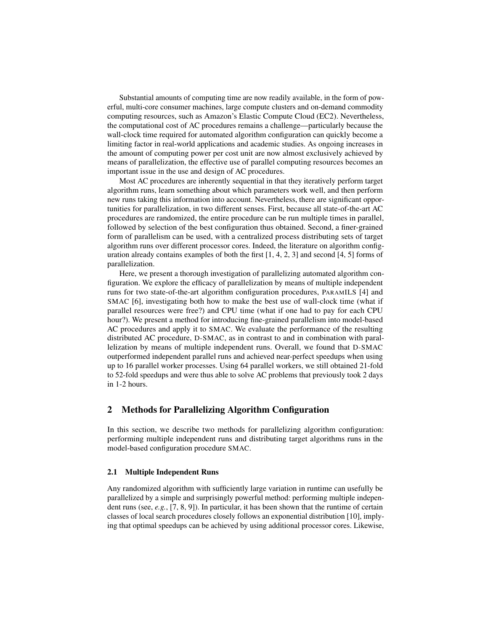Substantial amounts of computing time are now readily available, in the form of powerful, multi-core consumer machines, large compute clusters and on-demand commodity computing resources, such as Amazon's Elastic Compute Cloud (EC2). Nevertheless, the computational cost of AC procedures remains a challenge—particularly because the wall-clock time required for automated algorithm configuration can quickly become a limiting factor in real-world applications and academic studies. As ongoing increases in the amount of computing power per cost unit are now almost exclusively achieved by means of parallelization, the effective use of parallel computing resources becomes an important issue in the use and design of AC procedures.

Most AC procedures are inherently sequential in that they iteratively perform target algorithm runs, learn something about which parameters work well, and then perform new runs taking this information into account. Nevertheless, there are significant opportunities for parallelization, in two different senses. First, because all state-of-the-art AC procedures are randomized, the entire procedure can be run multiple times in parallel, followed by selection of the best configuration thus obtained. Second, a finer-grained form of parallelism can be used, with a centralized process distributing sets of target algorithm runs over different processor cores. Indeed, the literature on algorithm configuration already contains examples of both the first [1, 4, 2, 3] and second [4, 5] forms of parallelization.

Here, we present a thorough investigation of parallelizing automated algorithm configuration. We explore the efficacy of parallelization by means of multiple independent runs for two state-of-the-art algorithm configuration procedures, PARAMILS [4] and SMAC [6], investigating both how to make the best use of wall-clock time (what if parallel resources were free?) and CPU time (what if one had to pay for each CPU hour?). We present a method for introducing fine-grained parallelism into model-based AC procedures and apply it to SMAC. We evaluate the performance of the resulting distributed AC procedure, D-SMAC, as in contrast to and in combination with parallelization by means of multiple independent runs. Overall, we found that D-SMAC outperformed independent parallel runs and achieved near-perfect speedups when using up to 16 parallel worker processes. Using 64 parallel workers, we still obtained 21-fold to 52-fold speedups and were thus able to solve AC problems that previously took 2 days in 1-2 hours.

### 2 Methods for Parallelizing Algorithm Configuration

In this section, we describe two methods for parallelizing algorithm configuration: performing multiple independent runs and distributing target algorithms runs in the model-based configuration procedure SMAC.

#### 2.1 Multiple Independent Runs

Any randomized algorithm with sufficiently large variation in runtime can usefully be parallelized by a simple and surprisingly powerful method: performing multiple independent runs (see, *e.g.*, [7, 8, 9]). In particular, it has been shown that the runtime of certain classes of local search procedures closely follows an exponential distribution [10], implying that optimal speedups can be achieved by using additional processor cores. Likewise,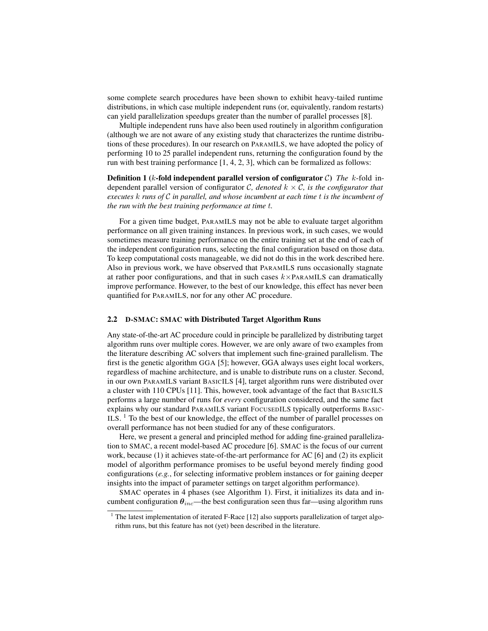some complete search procedures have been shown to exhibit heavy-tailed runtime distributions, in which case multiple independent runs (or, equivalently, random restarts) can yield parallelization speedups greater than the number of parallel processes [8].

Multiple independent runs have also been used routinely in algorithm configuration (although we are not aware of any existing study that characterizes the runtime distributions of these procedures). In our research on PARAMILS, we have adopted the policy of performing 10 to 25 parallel independent runs, returning the configuration found by the run with best training performance [1, 4, 2, 3], which can be formalized as follows:

Definition 1 (k-fold independent parallel version of configurator C) *The* k-fold independent parallel version of configurator C*, denoted* k × C*, is the configurator that executes* k *runs of* C *in parallel, and whose incumbent at each time* t *is the incumbent of the run with the best training performance at time* t*.*

For a given time budget, PARAMILS may not be able to evaluate target algorithm performance on all given training instances. In previous work, in such cases, we would sometimes measure training performance on the entire training set at the end of each of the independent configuration runs, selecting the final configuration based on those data. To keep computational costs manageable, we did not do this in the work described here. Also in previous work, we have observed that PARAMILS runs occasionally stagnate at rather poor configurations, and that in such cases  $k \times$  PARAMILS can dramatically improve performance. However, to the best of our knowledge, this effect has never been quantified for PARAMILS, nor for any other AC procedure.

#### 2.2 D-SMAC: SMAC with Distributed Target Algorithm Runs

Any state-of-the-art AC procedure could in principle be parallelized by distributing target algorithm runs over multiple cores. However, we are only aware of two examples from the literature describing AC solvers that implement such fine-grained parallelism. The first is the genetic algorithm GGA [5]; however, GGA always uses eight local workers, regardless of machine architecture, and is unable to distribute runs on a cluster. Second, in our own PARAMILS variant BASICILS [4], target algorithm runs were distributed over a cluster with 110 CPUs [11]. This, however, took advantage of the fact that BASICILS performs a large number of runs for *every* configuration considered, and the same fact explains why our standard PARAMILS variant FOCUSEDILS typically outperforms BASIC-ILS.<sup>1</sup> To the best of our knowledge, the effect of the number of parallel processes on overall performance has not been studied for any of these configurators.

Here, we present a general and principled method for adding fine-grained parallelization to SMAC, a recent model-based AC procedure [6]. SMAC is the focus of our current work, because (1) it achieves state-of-the-art performance for AC [6] and (2) its explicit model of algorithm performance promises to be useful beyond merely finding good configurations (*e.g.*, for selecting informative problem instances or for gaining deeper insights into the impact of parameter settings on target algorithm performance).

SMAC operates in 4 phases (see Algorithm 1). First, it initializes its data and incumbent configuration  $\theta_{inc}$ —the best configuration seen thus far—using algorithm runs

<sup>&</sup>lt;sup>1</sup> The latest implementation of iterated F-Race [12] also supports parallelization of target algorithm runs, but this feature has not (yet) been described in the literature.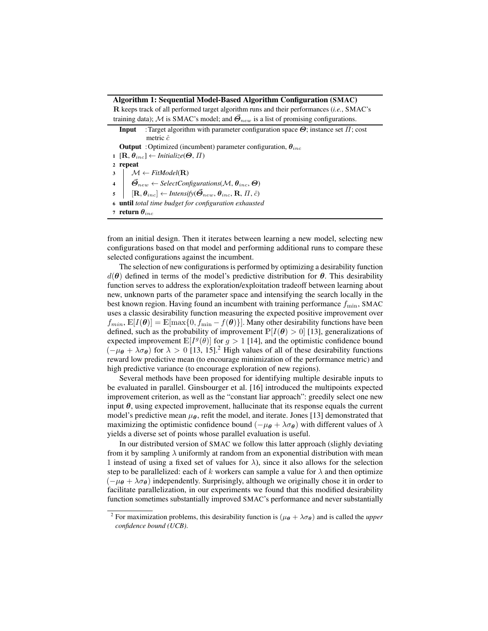Algorithm 1: Sequential Model-Based Algorithm Configuration (SMAC)

R keeps track of all performed target algorithm runs and their performances (*i.e.*, SMAC's training data); M is SMAC's model; and  $\vec{\Theta}_{new}$  is a list of promising configurations.

**Input** :Target algorithm with parameter configuration space  $\Theta$ ; instance set  $\Pi$ ; cost metric  $\hat{c}$ **Output** : Optimized (incumbent) parameter configuration,  $\theta_{inc}$ 1  $[\mathbf{R}, \theta_{inc}] \leftarrow \text{Initialize}(O, \Pi)$ <sup>2</sup> repeat  $3 \mid \mathcal{M} \leftarrow FitModel(\mathbf{R})$  $\begin{array}{c|c} \mathbf{4} & \mathbf{\bar{\Theta}}_{new} \leftarrow \text{SelectConfigurations}(\mathcal{M}, \theta_{inc}, \mathbf{\Theta}) \end{array}$  $\mathbf{5}$   $[\mathbf{R}, \theta_{inc}] \leftarrow$  *Intensify* $(\vec{\Theta}_{new}, \theta_{inc}, \mathbf{R}, \Pi, \hat{c})$ <sup>6</sup> until *total time budget for configuration exhausted* 7 return  $\theta_{inc}$ 

from an initial design. Then it iterates between learning a new model, selecting new configurations based on that model and performing additional runs to compare these selected configurations against the incumbent.

The selection of new configurations is performed by optimizing a desirability function  $d(\theta)$  defined in terms of the model's predictive distribution for  $\theta$ . This desirability function serves to address the exploration/exploitation tradeoff between learning about new, unknown parts of the parameter space and intensifying the search locally in the best known region. Having found an incumbent with training performance  $f_{\min}$ , SMAC uses a classic desirability function measuring the expected positive improvement over  $f_{min}$ ,  $\mathbb{E}[I(\theta)] = \mathbb{E}[\max\{0, f_{min} - f(\theta)\}]$ . Many other desirability functions have been defined, such as the probability of improvement  $\mathbb{P}[I(\theta) > 0]$  [13], generalizations of expected improvement  $\mathbb{E}[I^g(\theta)]$  for  $g > 1$  [14], and the optimistic confidence bound  $(-\mu_{\theta} + \lambda \sigma_{\theta})$  for  $\lambda > 0$  [13, 15].<sup>2</sup> High values of all of these desirability functions reward low predictive mean (to encourage minimization of the performance metric) and high predictive variance (to encourage exploration of new regions).

Several methods have been proposed for identifying multiple desirable inputs to be evaluated in parallel. Ginsbourger et al. [16] introduced the multipoints expected improvement criterion, as well as the "constant liar approach": greedily select one new input  $\theta$ , using expected improvement, hallucinate that its response equals the current model's predictive mean  $\mu_{\theta}$ , refit the model, and iterate. Jones [13] demonstrated that maximizing the optimistic confidence bound ( $-\mu_{\theta} + \lambda \sigma_{\theta}$ ) with different values of  $\lambda$ yields a diverse set of points whose parallel evaluation is useful.

In our distributed version of SMAC we follow this latter approach (slighly deviating from it by sampling  $\lambda$  uniformly at random from an exponential distribution with mean 1 instead of using a fixed set of values for  $\lambda$ ), since it also allows for the selection step to be parallelized: each of k workers can sample a value for  $\lambda$  and then optimize  $(-\mu_{\theta} + \lambda \sigma_{\theta})$  independently. Surprisingly, although we originally chose it in order to facilitate parallelization, in our experiments we found that this modified desirability function sometimes substantially improved SMAC's performance and never substantially

<sup>&</sup>lt;sup>2</sup> For maximization problems, this desirability function is  $(\mu_{\theta} + \lambda \sigma_{\theta})$  and is called the *upper confidence bound (UCB)*.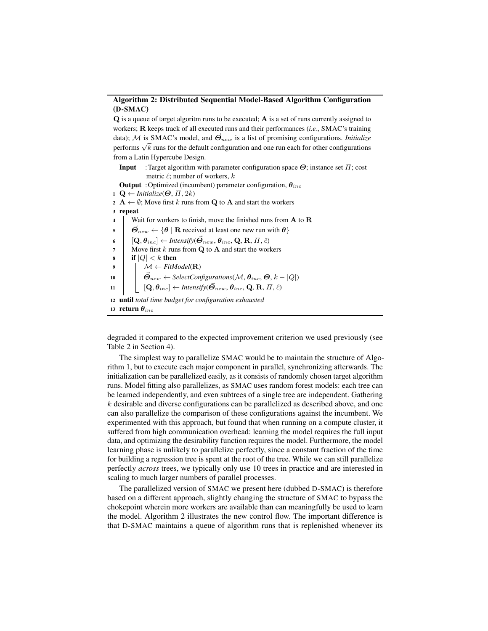### Algorithm 2: Distributed Sequential Model-Based Algorithm Configuration (D-SMAC)

Q is a queue of target algoritm runs to be executed; A is a set of runs currently assigned to workers; R keeps track of all executed runs and their performances (*i.e.*, SMAC's training data); M is SMAC's model, and  $\vec{\Theta}_{new}$  is a list of promising configurations. *Initialize*  $\alpha$  and  $\beta$ , we use SMAC is model, and  $\Theta_{new}$  is a fist of profilishing comigurations. *Intitually* performs  $\sqrt{k}$  runs for the default configuration and one run each for other configurations from a Latin Hypercube Design.

| : Target algorithm with parameter configuration space $\Theta$ ; instance set $\Pi$ ; cost<br>Input                                                                                                                                          |  |  |  |  |  |  |  |  |  |  |
|----------------------------------------------------------------------------------------------------------------------------------------------------------------------------------------------------------------------------------------------|--|--|--|--|--|--|--|--|--|--|
| metric $\hat{c}$ ; number of workers, k                                                                                                                                                                                                      |  |  |  |  |  |  |  |  |  |  |
| <b>Output</b> : Optimized (incumbent) parameter configuration, $\theta_{inc}$                                                                                                                                                                |  |  |  |  |  |  |  |  |  |  |
| $\mathbf{Q} \leftarrow$ <i>Initialize</i> ( $\boldsymbol{\Theta}$ , $\Pi$ , $2k$ )                                                                                                                                                           |  |  |  |  |  |  |  |  |  |  |
| 2 A $\leftarrow$ $\emptyset$ ; Move first k runs from Q to A and start the workers                                                                                                                                                           |  |  |  |  |  |  |  |  |  |  |
| 3 repeat                                                                                                                                                                                                                                     |  |  |  |  |  |  |  |  |  |  |
| Wait for workers to finish, move the finished runs from $A$ to $R$<br>4                                                                                                                                                                      |  |  |  |  |  |  |  |  |  |  |
| $\vec{\Theta}_{new} \leftarrow \{\theta \mid \mathbf{R} \text{ received at least one new run with } \theta\}$<br>5                                                                                                                           |  |  |  |  |  |  |  |  |  |  |
| $[\mathbf{Q}, \theta_{inc}] \leftarrow$ Intensify( $\vec{\Theta}_{new}, \theta_{inc}, \mathbf{Q}, \mathbf{R}, \Pi, \hat{c}$ )<br>6                                                                                                           |  |  |  |  |  |  |  |  |  |  |
| Move first $k$ runs from $Q$ to $A$ and start the workers<br>7                                                                                                                                                                               |  |  |  |  |  |  |  |  |  |  |
| if $ Q  < k$ then<br>8                                                                                                                                                                                                                       |  |  |  |  |  |  |  |  |  |  |
| $\mathcal{M} \leftarrow FitModel(\mathbf{R})$<br>9                                                                                                                                                                                           |  |  |  |  |  |  |  |  |  |  |
| $\vec{\Theta}_{new} \leftarrow SelectConfigurations(\mathcal{M}, \theta_{inc}, \Theta, k -  Q )$<br>10                                                                                                                                       |  |  |  |  |  |  |  |  |  |  |
| $\begin{array}{ c } \hline \end{array} \left[ \mathbf{Q}, \boldsymbol{\theta}_{inc} \right] \leftarrow$ Intensify $(\vec{\boldsymbol{\Theta}}_{new}, \boldsymbol{\theta}_{inc}, \mathbf{Q}, \mathbf{R}, \boldsymbol{\varPi}, \hat{c})$<br>11 |  |  |  |  |  |  |  |  |  |  |
| 12 until total time budget for configuration exhausted                                                                                                                                                                                       |  |  |  |  |  |  |  |  |  |  |
| 13 return $\theta_{inc}$                                                                                                                                                                                                                     |  |  |  |  |  |  |  |  |  |  |

degraded it compared to the expected improvement criterion we used previously (see Table 2 in Section 4).

The simplest way to parallelize SMAC would be to maintain the structure of Algorithm 1, but to execute each major component in parallel, synchronizing afterwards. The initialization can be parallelized easily, as it consists of randomly chosen target algorithm runs. Model fitting also parallelizes, as SMAC uses random forest models: each tree can be learned independently, and even subtrees of a single tree are independent. Gathering  $k$  desirable and diverse configurations can be parallelized as described above, and one can also parallelize the comparison of these configurations against the incumbent. We experimented with this approach, but found that when running on a compute cluster, it suffered from high communication overhead: learning the model requires the full input data, and optimizing the desirability function requires the model. Furthermore, the model learning phase is unlikely to parallelize perfectly, since a constant fraction of the time for building a regression tree is spent at the root of the tree. While we can still parallelize perfectly *across* trees, we typically only use 10 trees in practice and are interested in scaling to much larger numbers of parallel processes.

The parallelized version of SMAC we present here (dubbed D-SMAC) is therefore based on a different approach, slightly changing the structure of SMAC to bypass the chokepoint wherein more workers are available than can meaningfully be used to learn the model. Algorithm 2 illustrates the new control flow. The important difference is that D-SMAC maintains a queue of algorithm runs that is replenished whenever its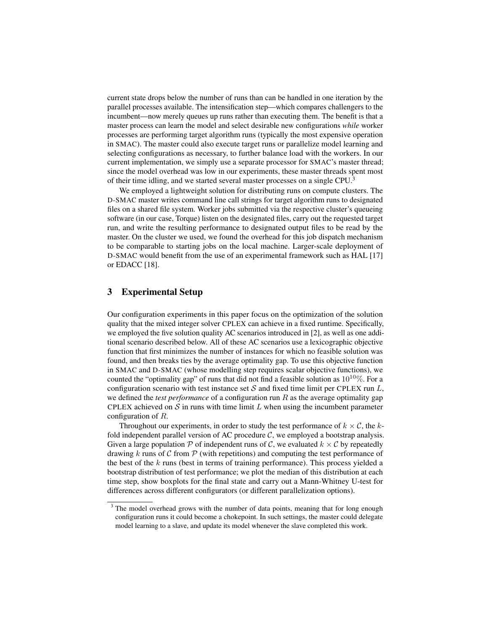current state drops below the number of runs than can be handled in one iteration by the parallel processes available. The intensification step—which compares challengers to the incumbent—now merely queues up runs rather than executing them. The benefit is that a master process can learn the model and select desirable new configurations *while* worker processes are performing target algorithm runs (typically the most expensive operation in SMAC). The master could also execute target runs or parallelize model learning and selecting configurations as necessary, to further balance load with the workers. In our current implementation, we simply use a separate processor for SMAC's master thread; since the model overhead was low in our experiments, these master threads spent most of their time idling, and we started several master processes on a single CPU.<sup>3</sup>

We employed a lightweight solution for distributing runs on compute clusters. The D-SMAC master writes command line call strings for target algorithm runs to designated files on a shared file system. Worker jobs submitted via the respective cluster's queueing software (in our case, Torque) listen on the designated files, carry out the requested target run, and write the resulting performance to designated output files to be read by the master. On the cluster we used, we found the overhead for this job dispatch mechanism to be comparable to starting jobs on the local machine. Larger-scale deployment of D-SMAC would benefit from the use of an experimental framework such as HAL [17] or EDACC [18].

### 3 Experimental Setup

Our configuration experiments in this paper focus on the optimization of the solution quality that the mixed integer solver CPLEX can achieve in a fixed runtime. Specifically, we employed the five solution quality AC scenarios introduced in [2], as well as one additional scenario described below. All of these AC scenarios use a lexicographic objective function that first minimizes the number of instances for which no feasible solution was found, and then breaks ties by the average optimality gap. To use this objective function in SMAC and D-SMAC (whose modelling step requires scalar objective functions), we counted the "optimality gap" of runs that did not find a feasible solution as  $10^{10}\%$ . For a configuration scenario with test instance set  $S$  and fixed time limit per CPLEX run  $L$ , we defined the *test performance* of a configuration run R as the average optimality gap CPLEX achieved on  $S$  in runs with time limit  $L$  when using the incumbent parameter configuration of R.

Throughout our experiments, in order to study the test performance of  $k \times \mathcal{C}$ , the kfold independent parallel version of AC procedure  $C$ , we employed a bootstrap analysis. Given a large population P of independent runs of C, we evaluated  $k \times C$  by repeatedly drawing k runs of C from  $\mathcal P$  (with repetitions) and computing the test performance of the best of the  $k$  runs (best in terms of training performance). This process yielded a bootstrap distribution of test performance; we plot the median of this distribution at each time step, show boxplots for the final state and carry out a Mann-Whitney U-test for differences across different configurators (or different parallelization options).

<sup>&</sup>lt;sup>3</sup> The model overhead grows with the number of data points, meaning that for long enough configuration runs it could become a chokepoint. In such settings, the master could delegate model learning to a slave, and update its model whenever the slave completed this work.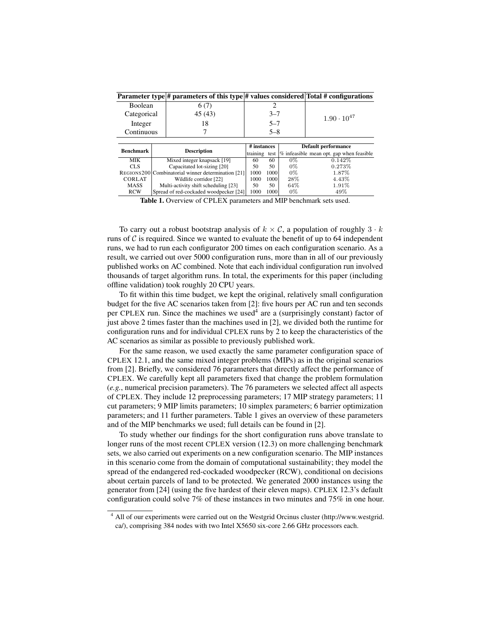|                  |               | I alameter type $\mu$ parameters of this type $\mu$ values considered fotal $\mu$ configurations |               |         |       |                                          |  |  |
|------------------|---------------|--------------------------------------------------------------------------------------------------|---------------|---------|-------|------------------------------------------|--|--|
| Boolean          |               | 6 (7)                                                                                            | 2             |         |       |                                          |  |  |
| Categorical      |               | 45 (43)                                                                                          |               | $3 - 7$ |       | $1.90 \cdot 10^{47}$                     |  |  |
| Integer          |               | 18                                                                                               | $5 - 7$       |         |       |                                          |  |  |
| Continuous       |               |                                                                                                  | $5 - 8$       |         |       |                                          |  |  |
|                  |               |                                                                                                  |               |         |       |                                          |  |  |
| <b>Benchmark</b> |               |                                                                                                  | # instances   |         |       | <b>Default performance</b>               |  |  |
|                  |               | <b>Description</b>                                                                               | training test |         |       | % infeasible mean opt. gap when feasible |  |  |
|                  |               |                                                                                                  |               |         |       |                                          |  |  |
|                  | MIK           | Mixed integer knapsack [19]                                                                      | 60            | 60      | $0\%$ | 0.142%                                   |  |  |
|                  | <b>CLS</b>    | Capacitated lot-sizing [20]                                                                      | 50            | 50      | $0\%$ | 0.273%                                   |  |  |
|                  |               | REGIONS200 Combinatorial winner determination [21]                                               | 1000          | 1000    | $0\%$ | 1.87%                                    |  |  |
|                  | <b>CORLAT</b> | Wildlife corridor [22]                                                                           | 1000          | 1000    | 28%   | 4.43%                                    |  |  |
|                  | <b>MASS</b>   | Multi-activity shift scheduling [23]                                                             | 50            | 50      | 64%   | 1.91%                                    |  |  |
|                  | <b>RCW</b>    | Spread of red-cockaded woodpecker [24]                                                           | 1000          | 1000    | $0\%$ | 49%                                      |  |  |

 $P$ arameter type  $\#$  parameters of this type  $\#$  values considered Total  $\#$  configurations

Table 1. Overview of CPLEX parameters and MIP benchmark sets used.

To carry out a robust bootstrap analysis of  $k \times \mathcal{C}$ , a population of roughly  $3 \cdot k$ runs of  $\mathcal C$  is required. Since we wanted to evaluate the benefit of up to 64 independent runs, we had to run each configurator 200 times on each configuration scenario. As a result, we carried out over 5000 configuration runs, more than in all of our previously published works on AC combined. Note that each individual configuration run involved thousands of target algorithm runs. In total, the experiments for this paper (including offline validation) took roughly 20 CPU years.

To fit within this time budget, we kept the original, relatively small configuration budget for the five AC scenarios taken from [2]: five hours per AC run and ten seconds per CPLEX run. Since the machines we used<sup>4</sup> are a (surprisingly constant) factor of just above 2 times faster than the machines used in [2], we divided both the runtime for configuration runs and for individual CPLEX runs by 2 to keep the characteristics of the AC scenarios as similar as possible to previously published work.

For the same reason, we used exactly the same parameter configuration space of CPLEX 12.1, and the same mixed integer problems (MIPs) as in the original scenarios from [2]. Briefly, we considered 76 parameters that directly affect the performance of CPLEX. We carefully kept all parameters fixed that change the problem formulation (*e.g.*, numerical precision parameters). The 76 parameters we selected affect all aspects of CPLEX. They include 12 preprocessing parameters; 17 MIP strategy parameters; 11 cut parameters; 9 MIP limits parameters; 10 simplex parameters; 6 barrier optimization parameters; and 11 further parameters. Table 1 gives an overview of these parameters and of the MIP benchmarks we used; full details can be found in [2].

To study whether our findings for the short configuration runs above translate to longer runs of the most recent CPLEX version (12.3) on more challenging benchmark sets, we also carried out experiments on a new configuration scenario. The MIP instances in this scenario come from the domain of computational sustainability; they model the spread of the endangered red-cockaded woodpecker (RCW), conditional on decisions about certain parcels of land to be protected. We generated 2000 instances using the generator from [24] (using the five hardest of their eleven maps). CPLEX 12.3's default configuration could solve 7% of these instances in two minutes and 75% in one hour.

<sup>4</sup> All of our experiments were carried out on the Westgrid Orcinus cluster (http://www.westgrid. ca/), comprising 384 nodes with two Intel X5650 six-core 2.66 GHz processors each.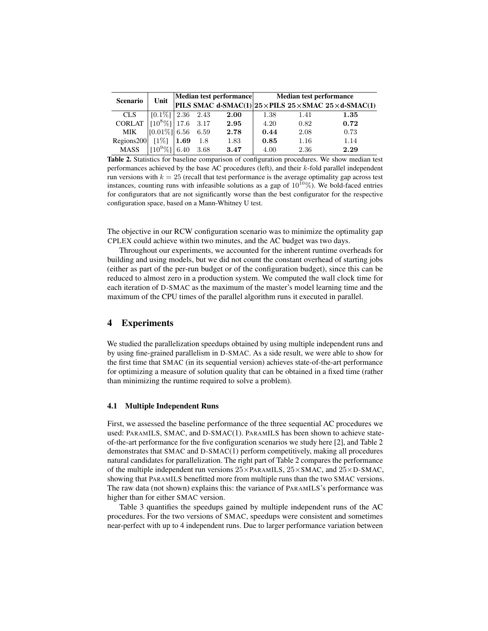| <b>Scenario</b>                                       | Unit                 | Median test performance |      |      | <b>Median test performance</b> |      |                                                                              |  |
|-------------------------------------------------------|----------------------|-------------------------|------|------|--------------------------------|------|------------------------------------------------------------------------------|--|
|                                                       |                      |                         |      |      |                                |      | PILS SMAC d-SMAC(1) $25 \times$ PILS $25 \times$ SMAC $25 \times d$ -SMAC(1) |  |
| CLS                                                   | $[0.1\%]$ 2.36 2.43  |                         |      | 2.00 | 1.38                           | 1.41 | 1.35                                                                         |  |
| CORLAT $\left  \frac{10^8\%}{17.6} \right  17.6$ 3.17 |                      |                         |      | 2.95 | 4.20                           | 0.82 | 0.72                                                                         |  |
| MIK                                                   | $[0.01\%]$ 6.56 6.59 |                         |      | 2.78 | 0.44                           | 2.08 | 0.73                                                                         |  |
| Regions200                                            | $[1\%]$ 1.69         |                         | -1.8 | 1.83 | 0.85                           | 1.16 | 1.14                                                                         |  |
| <b>MASS</b>                                           | $[10^9\%]$ 6.40 3.68 |                         |      | 3.47 | 4.00                           | 2.36 | 2.29                                                                         |  |

Table 2. Statistics for baseline comparison of configuration procedures. We show median test performances achieved by the base AC procedures (left), and their k-fold parallel independent run versions with  $k = 25$  (recall that test performance is the average optimality gap across test instances, counting runs with infeasible solutions as a gap of  $10^{10}\%$ ). We bold-faced entries for configurators that are not significantly worse than the best configurator for the respective configuration space, based on a Mann-Whitney U test.

The objective in our RCW configuration scenario was to minimize the optimality gap CPLEX could achieve within two minutes, and the AC budget was two days.

Throughout our experiments, we accounted for the inherent runtime overheads for building and using models, but we did not count the constant overhead of starting jobs (either as part of the per-run budget or of the configuration budget), since this can be reduced to almost zero in a production system. We computed the wall clock time for each iteration of D-SMAC as the maximum of the master's model learning time and the maximum of the CPU times of the parallel algorithm runs it executed in parallel.

### 4 Experiments

We studied the parallelization speedups obtained by using multiple independent runs and by using fine-grained parallelism in D-SMAC. As a side result, we were able to show for the first time that SMAC (in its sequential version) achieves state-of-the-art performance for optimizing a measure of solution quality that can be obtained in a fixed time (rather than minimizing the runtime required to solve a problem).

#### 4.1 Multiple Independent Runs

First, we assessed the baseline performance of the three sequential AC procedures we used: PARAMILS, SMAC, and D-SMAC(1). PARAMILS has been shown to achieve stateof-the-art performance for the five configuration scenarios we study here [2], and Table 2 demonstrates that SMAC and D-SMAC(1) perform competitively, making all procedures natural candidates for parallelization. The right part of Table 2 compares the performance of the multiple independent run versions  $25 \times$  PARAMILS,  $25 \times$  SMAC, and  $25 \times$  D-SMAC, showing that PARAMILS benefitted more from multiple runs than the two SMAC versions. The raw data (not shown) explains this: the variance of PARAMILS's performance was higher than for either SMAC version.

Table 3 quantifies the speedups gained by multiple independent runs of the AC procedures. For the two versions of SMAC, speedups were consistent and sometimes near-perfect with up to 4 independent runs. Due to larger performance variation between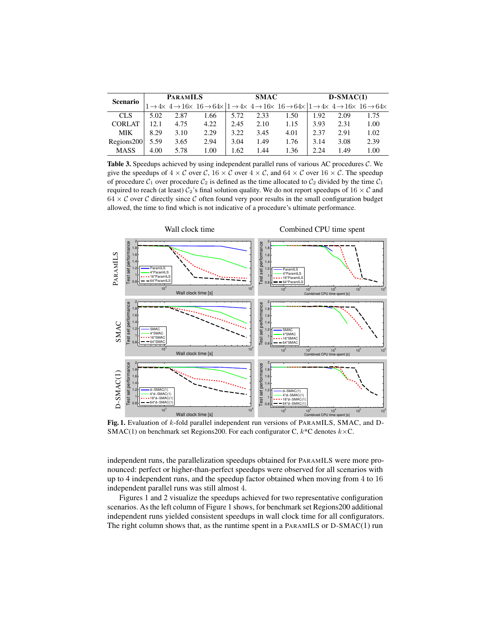| <b>Scenario</b> | <b>PARAMILS</b> |      |      | <b>SMAC</b> |      |                                                                                                                                                                                                                           | $D-SMAC(1)$ |      |      |
|-----------------|-----------------|------|------|-------------|------|---------------------------------------------------------------------------------------------------------------------------------------------------------------------------------------------------------------------------|-------------|------|------|
|                 |                 |      |      |             |      | $1 \rightarrow 4 \times 4 \rightarrow 16 \times 16 \rightarrow 64 \times 1 \rightarrow 4 \times 4 \rightarrow 16 \times 16 \rightarrow 64 \times 1 \rightarrow 4 \times 4 \rightarrow 16 \times 16 \rightarrow 64 \times$ |             |      |      |
| CLS.            | 5.02            | 2.87 | 1.66 | 5.72        | 2.33 | 1.50                                                                                                                                                                                                                      | 1.92        | 2.09 | 1.75 |
| <b>CORLAT</b>   | 12.1            | 4.75 | 4.22 | 2.45        | 2.10 | 1.15                                                                                                                                                                                                                      | 3.93        | 2.31 | 1.00 |
| <b>MIK</b>      | 8.29            | 3.10 | 2.29 | 3.22        | 3.45 | 4.01                                                                                                                                                                                                                      | 2.37        | 2.91 | 1.02 |
| Regions200      | 5.59            | 3.65 | 2.94 | 3.04        | 1.49 | 1.76                                                                                                                                                                                                                      | 3.14        | 3.08 | 2.39 |
| <b>MASS</b>     | 4.00            | 5.78 | 1.00 | 1.62        | 1.44 | 1.36                                                                                                                                                                                                                      | 2.24        | 1.49 | 1.00 |

**Table 3.** Speedups achieved by using independent parallel runs of various AC procedures  $\mathcal{C}$ . We give the speedups of  $4 \times C$  over C,  $16 \times C$  over  $4 \times C$ , and  $64 \times C$  over  $16 \times C$ . The speedup of procedure  $C_1$  over procedure  $C_2$  is defined as the time allocated to  $C_2$  divided by the time  $C_1$ required to reach (at least)  $C_2$ 's final solution quality. We do not report speedups of 16  $\times$  C and  $64 \times C$  over C directly since C often found very poor results in the small configuration budget allowed, the time to find which is not indicative of a procedure's ultimate performance.



Fig. 1. Evaluation of k-fold parallel independent run versions of PARAMILS, SMAC, and D-SMAC(1) on benchmark set Regions200. For each configurator C,  $k*C$  denotes  $k\times C$ .

independent runs, the parallelization speedups obtained for PARAMILS were more pronounced: perfect or higher-than-perfect speedups were observed for all scenarios with up to 4 independent runs, and the speedup factor obtained when moving from 4 to 16 independent parallel runs was still almost 4.

Figures 1 and 2 visualize the speedups achieved for two representative configuration scenarios. As the left column of Figure 1 shows, for benchmark set Regions200 additional independent runs yielded consistent speedups in wall clock time for all configurators. The right column shows that, as the runtime spent in a PARAMILS or D-SMAC(1) run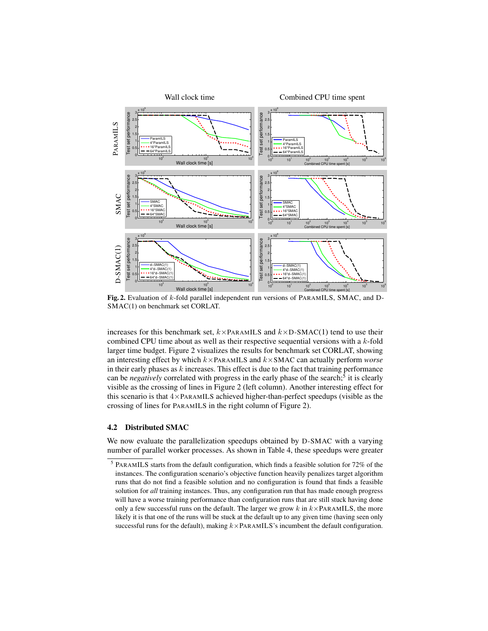

Fig. 2. Evaluation of k-fold parallel independent run versions of PARAMILS, SMAC, and D-SMAC(1) on benchmark set CORLAT.

increases for this benchmark set,  $k \times \text{PARAMILS}$  and  $k \times \text{D-SMAC}(1)$  tend to use their combined CPU time about as well as their respective sequential versions with a  $k$ -fold larger time budget. Figure 2 visualizes the results for benchmark set CORLAT, showing an interesting effect by which k×PARAMILS and k×SMAC can actually perform *worse* in their early phases as  $k$  increases. This effect is due to the fact that training performance can be *negatively* correlated with progress in the early phase of the search;<sup>5</sup> it is clearly visible as the crossing of lines in Figure 2 (left column). Another interesting effect for this scenario is that  $4\times$ PARAMILS achieved higher-than-perfect speedups (visible as the crossing of lines for PARAMILS in the right column of Figure 2).

#### 4.2 Distributed SMAC

We now evaluate the parallelization speedups obtained by D-SMAC with a varying number of parallel worker processes. As shown in Table 4, these speedups were greater

<sup>&</sup>lt;sup>5</sup> PARAMILS starts from the default configuration, which finds a feasible solution for 72% of the instances. The configuration scenario's objective function heavily penalizes target algorithm runs that do not find a feasible solution and no configuration is found that finds a feasible solution for *all* training instances. Thus, any configuration run that has made enough progress will have a worse training performance than configuration runs that are still stuck having done only a few successful runs on the default. The larger we grow  $k$  in  $k \times$ PARAMILS, the more likely it is that one of the runs will be stuck at the default up to any given time (having seen only successful runs for the default), making  $k \times P$ ARAMILS's incumbent the default configuration.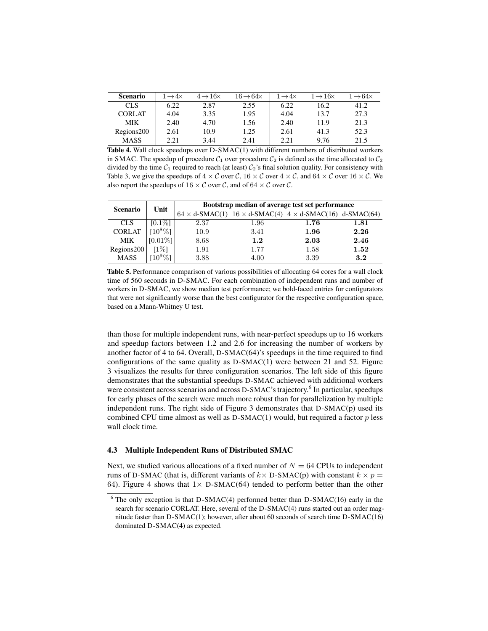| <b>Scenario</b> | $1 \rightarrow 4 \times$ | $4 \rightarrow 16 \times$ | $16 \rightarrow 64 \times$ | $1 \rightarrow 4 \times$ | $1 \rightarrow 16 \times$ | $1 \rightarrow 64 \times$ |
|-----------------|--------------------------|---------------------------|----------------------------|--------------------------|---------------------------|---------------------------|
| <b>CLS</b>      | 6.22                     | 2.87                      | 2.55                       | 6.22                     | 16.2                      | 41.2                      |
| CORLAT          | 4.04                     | 3.35                      | 1.95                       | 4.04                     | 13.7                      | 27.3                      |
| <b>MIK</b>      | 2.40                     | 4.70                      | 1.56                       | 2.40                     | 11.9                      | 21.3                      |
| Regions200      | 2.61                     | 10.9                      | 1.25                       | 2.61                     | 41.3                      | 52.3                      |
| <b>MASS</b>     | 2.21                     | 3.44                      | 2.41                       | 2.21                     | 9.76                      | 21.5                      |

Table 4. Wall clock speedups over D-SMAC(1) with different numbers of distributed workers in SMAC. The speedup of procedure  $C_1$  over procedure  $C_2$  is defined as the time allocated to  $C_2$ divided by the time  $C_1$  required to reach (at least)  $C_2$ 's final solution quality. For consistency with Table 3, we give the speedups of  $4 \times C$  over C,  $16 \times C$  over  $4 \times C$ , and  $64 \times C$  over  $16 \times C$ . We also report the speedups of  $16 \times C$  over C, and of  $64 \times C$  over C.

| <b>Scenario</b> |                        | Bootstrap median of average test set performance |                                                                                 |      |      |  |  |  |
|-----------------|------------------------|--------------------------------------------------|---------------------------------------------------------------------------------|------|------|--|--|--|
|                 | Unit                   |                                                  | $64 \times d$ -SMAC(1) $16 \times d$ -SMAC(4) $4 \times d$ -SMAC(16) d-SMAC(64) |      |      |  |  |  |
| <b>CLS</b>      | $[0.1\%]$              | 2.37                                             | 1.96                                                                            | 1.76 | 1.81 |  |  |  |
| <b>CORLAT</b>   | $[10^8\%]$             | 10.9                                             | 3.41                                                                            | 1.96 | 2.26 |  |  |  |
| MIK             | $[0.01\%]$             | 8.68                                             | 1.2                                                                             | 2.03 | 2.46 |  |  |  |
| Regions200      | $1\%$                  | 1.91                                             | 1.77                                                                            | 1.58 | 1.52 |  |  |  |
| <b>MASS</b>     | $110^9\%$ <sup>1</sup> | 3.88                                             | 4.00                                                                            | 3.39 | 3.2  |  |  |  |

Table 5. Performance comparison of various possibilities of allocating 64 cores for a wall clock time of 560 seconds in D-SMAC. For each combination of independent runs and number of workers in D-SMAC, we show median test performance; we bold-faced entries for configurators that were not significantly worse than the best configurator for the respective configuration space, based on a Mann-Whitney U test.

than those for multiple independent runs, with near-perfect speedups up to 16 workers and speedup factors between 1.2 and 2.6 for increasing the number of workers by another factor of 4 to 64. Overall, D-SMAC(64)'s speedups in the time required to find configurations of the same quality as D-SMAC(1) were between 21 and 52. Figure 3 visualizes the results for three configuration scenarios. The left side of this figure demonstrates that the substantial speedups D-SMAC achieved with additional workers were consistent across scenarios and across D-SMAC's trajectory.<sup>6</sup> In particular, speedups for early phases of the search were much more robust than for parallelization by multiple independent runs. The right side of Figure 3 demonstrates that D-SMAC(p) used its combined CPU time almost as well as  $D-SMAC(1)$  would, but required a factor p less wall clock time.

#### 4.3 Multiple Independent Runs of Distributed SMAC

Next, we studied various allocations of a fixed number of  $N = 64$  CPUs to independent runs of D-SMAC (that is, different variants of  $k \times D$ -SMAC(p) with constant  $k \times p =$ 64). Figure 4 shows that  $1 \times$  D-SMAC(64) tended to perform better than the other

 $6$  The only exception is that D-SMAC(4) performed better than D-SMAC(16) early in the search for scenario CORLAT. Here, several of the D-SMAC(4) runs started out an order magnitude faster than D-SMAC(1); however, after about 60 seconds of search time D-SMAC(16) dominated D-SMAC(4) as expected.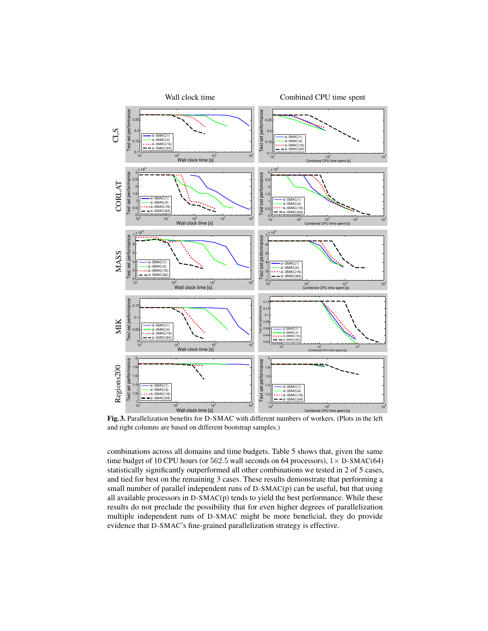

Fig. 3. Parallelization benefits for D-SMAC with different numbers of workers. (Plots in the left and right columns are based on different bootstrap samples.)

combinations across all domains and time budgets. Table 5 shows that, given the same time budget of 10 CPU hours (or 562.5 wall seconds on 64 processors),  $1 \times D$ -SMAC(64) statistically significantly outperformed all other combinations we tested in 2 of 5 cases, and tied for best on the remaining 3 cases. These results demonstrate that performing a small number of parallel independent runs of D-SMAC(p) can be useful, but that using all available processors in  $D-SMAC(p)$  tends to yield the best performance. While these results do not preclude the possibility that for even higher degrees of parallelization multiple independent runs of D-SMAC might be more beneficial, they do provide evidence that D-SMAC's fine-grained parallelization strategy is effective.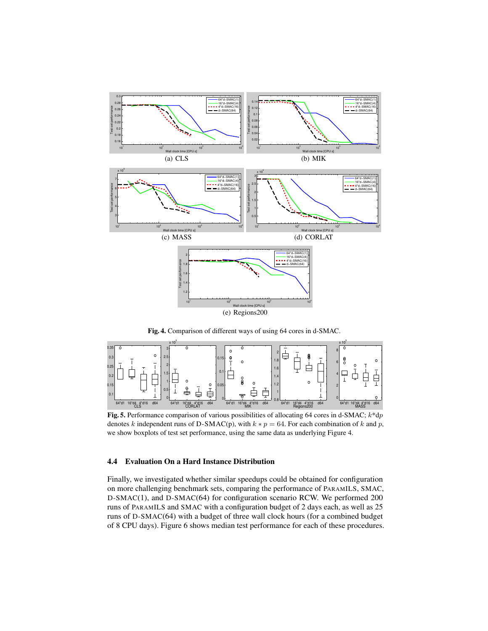

Fig. 4. Comparison of different ways of using 64 cores in d-SMAC.



Fig. 5. Performance comparison of various possibilities of allocating 64 cores in d-SMAC;  $k*dp$ denotes k independent runs of D-SMAC(p), with  $k * p = 64$ . For each combination of k and p, we show boxplots of test set performance, using the same data as underlying Figure 4.

### 4.4 Evaluation On a Hard Instance Distribution

Finally, we investigated whether similar speedups could be obtained for configuration on more challenging benchmark sets, comparing the performance of PARAMILS, SMAC,  $D-SMAC(1)$ , and  $D-SMAC(64)$  for configuration scenario RCW. We performed 200 runs of PARAMILS and SMAC with a configuration budget of 2 days each, as well as 25 runs of D-SMAC(64) with a budget of three wall clock hours (for a combined budget of 8 CPU days). Figure 6 shows median test performance for each of these procedures.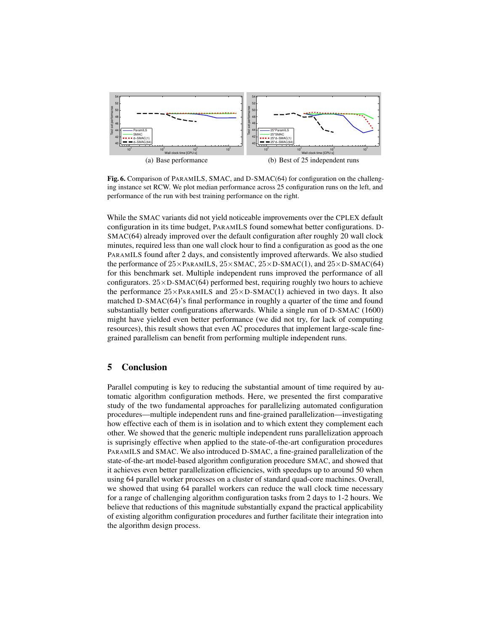

Fig. 6. Comparison of PARAMILS, SMAC, and D-SMAC(64) for configuration on the challenging instance set RCW. We plot median performance across 25 configuration runs on the left, and performance of the run with best training performance on the right.

While the SMAC variants did not yield noticeable improvements over the CPLEX default configuration in its time budget, PARAMILS found somewhat better configurations. D-SMAC(64) already improved over the default configuration after roughly 20 wall clock minutes, required less than one wall clock hour to find a configuration as good as the one PARAMILS found after 2 days, and consistently improved afterwards. We also studied the performance of  $25\times$  PARAMILS,  $25\times$  SMAC,  $25\times$  D-SMAC(1), and  $25\times$  D-SMAC(64) for this benchmark set. Multiple independent runs improved the performance of all configurators.  $25 \times D-SMAC(64)$  performed best, requiring roughly two hours to achieve the performance  $25\times$  PARAMILS and  $25\times$  D-SMAC(1) achieved in two days. It also matched D-SMAC(64)'s final performance in roughly a quarter of the time and found substantially better configurations afterwards. While a single run of D-SMAC (1600) might have yielded even better performance (we did not try, for lack of computing resources), this result shows that even AC procedures that implement large-scale finegrained parallelism can benefit from performing multiple independent runs.

## 5 Conclusion

Parallel computing is key to reducing the substantial amount of time required by automatic algorithm configuration methods. Here, we presented the first comparative study of the two fundamental approaches for parallelizing automated configuration procedures—multiple independent runs and fine-grained parallelization—investigating how effective each of them is in isolation and to which extent they complement each other. We showed that the generic multiple independent runs parallelization approach is suprisingly effective when applied to the state-of-the-art configuration procedures PARAMILS and SMAC. We also introduced D-SMAC, a fine-grained parallelization of the state-of-the-art model-based algorithm configuration procedure SMAC, and showed that it achieves even better parallelization efficiencies, with speedups up to around 50 when using 64 parallel worker processes on a cluster of standard quad-core machines. Overall, we showed that using 64 parallel workers can reduce the wall clock time necessary for a range of challenging algorithm configuration tasks from 2 days to 1-2 hours. We believe that reductions of this magnitude substantially expand the practical applicability of existing algorithm configuration procedures and further facilitate their integration into the algorithm design process.